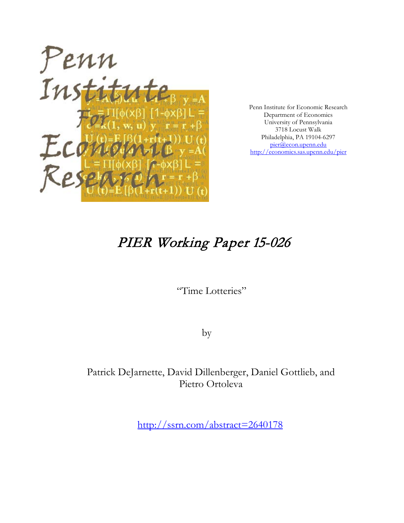

Penn Institute for Economic Research Department of Economics University of Pennsylvania 3718 Locust Walk Philadelphia, PA 19104-6297 [pier@econ.upenn.edu](mailto:pier@econ.upenn.edu) <http://economics.sas.upenn.edu/pier>

# PIER Working Paper 15-026

"Time Lotteries"

by

Patrick DeJarnette, David Dillenberger, Daniel Gottlieb, and Pietro Ortoleva

[http://ssrn.com/abstract=2](http://ssrn.com/abstract_id=)640178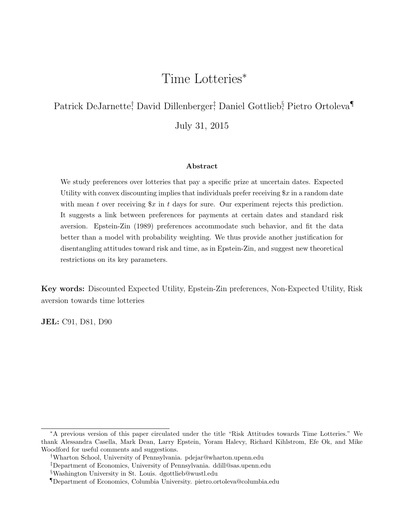## Time Lotteries<sup>∗</sup>

## Patrick DeJarnette; David Dillenberger; Daniel Gottlieb, Pietro Ortoleva<sup>¶</sup> July 31, 2015

#### Abstract

We study preferences over lotteries that pay a specific prize at uncertain dates. Expected Utility with convex discounting implies that individuals prefer receiving  $x$  in a random date with mean t over receiving  $x$  in t days for sure. Our experiment rejects this prediction. It suggests a link between preferences for payments at certain dates and standard risk aversion. Epstein-Zin (1989) preferences accommodate such behavior, and fit the data better than a model with probability weighting. We thus provide another justification for disentangling attitudes toward risk and time, as in Epstein-Zin, and suggest new theoretical restrictions on its key parameters.

Key words: Discounted Expected Utility, Epstein-Zin preferences, Non-Expected Utility, Risk aversion towards time lotteries

JEL: C91, D81, D90

<sup>∗</sup>A previous version of this paper circulated under the title "Risk Attitudes towards Time Lotteries." We thank Alessandra Casella, Mark Dean, Larry Epstein, Yoram Halevy, Richard Kihlstrom, Efe Ok, and Mike Woodford for useful comments and suggestions.

<sup>†</sup>Wharton School, University of Pennsylvania. pdejar@wharton.upenn.edu

<sup>‡</sup>Department of Economics, University of Pennsylvania. ddill@sas.upenn.edu

<sup>§</sup>Washington University in St. Louis. dgottlieb@wustl.edu

<sup>¶</sup>Department of Economics, Columbia University. pietro.ortoleva@columbia.edu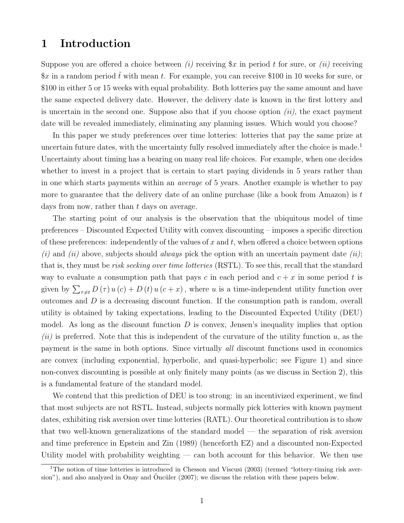## 1 Introduction

Suppose you are offered a choice between (i) receiving  $x$  in period t for sure, or (ii) receiving  $x$  in a random period  $\tilde{t}$  with mean t. For example, you can receive \$100 in 10 weeks for sure, or \$100 in either 5 or 15 weeks with equal probability. Both lotteries pay the same amount and have the same expected delivery date. However, the delivery date is known in the first lottery and is uncertain in the second one. Suppose also that if you choose option  $(ii)$ , the exact payment date will be revealed immediately, eliminating any planning issues. Which would you choose?

In this paper we study preferences over time lotteries: lotteries that pay the same prize at uncertain future dates, with the uncertainty fully resolved immediately after the choice is made.<sup>1</sup> Uncertainty about timing has a bearing on many real life choices. For example, when one decides whether to invest in a project that is certain to start paying dividends in 5 years rather than in one which starts payments within an average of 5 years. Another example is whether to pay more to guarantee that the delivery date of an online purchase (like a book from Amazon) is  $t$ days from now, rather than t days on average.

The starting point of our analysis is the observation that the ubiquitous model of time preferences – Discounted Expected Utility with convex discounting – imposes a specific direction of these preferences: independently of the values of  $x$  and  $t$ , when offered a choice between options (i) and (ii) above, subjects should *always* pick the option with an uncertain payment date (ii); that is, they must be risk seeking over time lotteries (RSTL). To see this, recall that the standard way to evaluate a consumption path that pays c in each period and  $c + x$  in some period t is given by  $\sum_{\tau \neq t} D(\tau) u(c) + D(t) u(c+x)$ , where u is a time-independent utility function over outcomes and D is a decreasing discount function. If the consumption path is random, overall utility is obtained by taking expectations, leading to the Discounted Expected Utility (DEU) model. As long as the discount function  $D$  is convex, Jensen's inequality implies that option  $(ii)$  is preferred. Note that this is independent of the curvature of the utility function u, as the payment is the same in both options. Since virtually all discount functions used in economics are convex (including exponential, hyperbolic, and quasi-hyperbolic; see Figure 1) and since non-convex discounting is possible at only finitely many points (as we discuss in Section 2), this is a fundamental feature of the standard model.

We contend that this prediction of DEU is too strong: in an incentivized experiment, we find that most subjects are not RSTL. Instead, subjects normally pick lotteries with known payment dates, exhibiting risk aversion over time lotteries (RATL). Our theoretical contribution is to show that two well-known generalizations of the standard model — the separation of risk aversion and time preference in Epstein and Zin (1989) (henceforth EZ) and a discounted non-Expected Utility model with probability weighting  $-$  can both account for this behavior. We then use

<sup>&</sup>lt;sup>1</sup>The notion of time lotteries is introduced in Chesson and Viscusi (2003) (termed "lottery-timing risk aversion"), and also analyzed in Onay and Öncüler  $(2007)$ ; we discuss the relation with these papers below.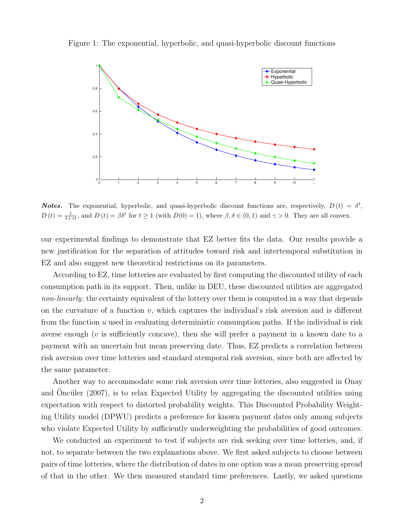Figure 1: The exponential, hyperbolic, and quasi-hyperbolic discount functions



**Notes.** The exponential, hyperbolic, and quasi-hyperbolic discount functions are, respectively,  $D(t) = \delta^t$ ,  $D(t) = \frac{1}{1+\gamma t}$ , and  $D(t) = \beta \delta^t$  for  $t \ge 1$  (with  $D(0) = 1$ ), where  $\beta, \delta \in (0, 1)$  and  $\gamma > 0$ . They are all convex.

our experimental findings to demonstrate that EZ better fits the data. Our results provide a new justification for the separation of attitudes toward risk and intertemporal substitution in EZ and also suggest new theoretical restrictions on its parameters.

According to EZ, time lotteries are evaluated by first computing the discounted utility of each consumption path in its support. Then, unlike in DEU, these discounted utilities are aggregated non-linearly; the certainty equivalent of the lottery over them is computed in a way that depends on the curvature of a function  $v$ , which captures the individual's risk aversion and is different from the function  $u$  used in evaluating deterministic consumption paths. If the individual is risk averse enough ( $v$  is sufficiently concave), then she will prefer a payment in a known date to a payment with an uncertain but mean preserving date. Thus, EZ predicts a correlation between risk aversion over time lotteries and standard atemporal risk aversion, since both are affected by the same parameter.

Another way to accommodate some risk aversion over time lotteries, also suggested in Onay and Oncüler  $(2007)$ , is to relax Expected Utility by aggregating the discounted utilities using expectation with respect to distorted probability weights. This Discounted Probability Weighting Utility model (DPWU) predicts a preference for known payment dates only among subjects who violate Expected Utility by sufficiently underweighting the probabilities of good outcomes.

We conducted an experiment to test if subjects are risk seeking over time lotteries, and, if not, to separate between the two explanations above. We first asked subjects to choose between pairs of time lotteries, where the distribution of dates in one option was a mean preserving spread of that in the other. We then measured standard time preferences. Lastly, we asked questions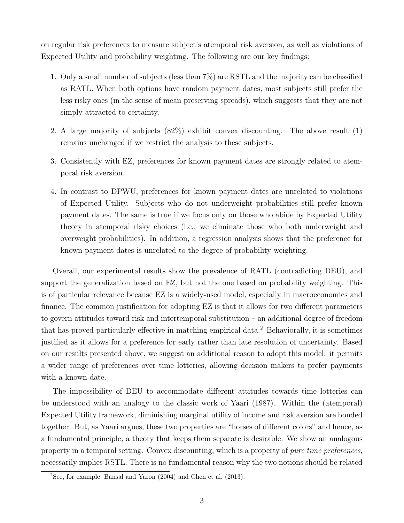on regular risk preferences to measure subject's atemporal risk aversion, as well as violations of Expected Utility and probability weighting. The following are our key findings:

- 1. Only a small number of subjects (less than 7%) are RSTL and the majority can be classified as RATL. When both options have random payment dates, most subjects still prefer the less risky ones (in the sense of mean preserving spreads), which suggests that they are not simply attracted to certainty.
- 2. A large majority of subjects (82%) exhibit convex discounting. The above result (1) remains unchanged if we restrict the analysis to these subjects.
- 3. Consistently with EZ, preferences for known payment dates are strongly related to atemporal risk aversion.
- 4. In contrast to DPWU, preferences for known payment dates are unrelated to violations of Expected Utility. Subjects who do not underweight probabilities still prefer known payment dates. The same is true if we focus only on those who abide by Expected Utility theory in atemporal risky choices (i.e., we eliminate those who both underweight and overweight probabilities). In addition, a regression analysis shows that the preference for known payment dates is unrelated to the degree of probability weighting.

Overall, our experimental results show the prevalence of RATL (contradicting DEU), and support the generalization based on EZ, but not the one based on probability weighting. This is of particular relevance because EZ is a widely-used model, especially in macroeconomics and finance. The common justification for adopting EZ is that it allows for two different parameters to govern attitudes toward risk and intertemporal substitution – an additional degree of freedom that has proved particularly effective in matching empirical data.<sup>2</sup> Behaviorally, it is sometimes justified as it allows for a preference for early rather than late resolution of uncertainty. Based on our results presented above, we suggest an additional reason to adopt this model: it permits a wider range of preferences over time lotteries, allowing decision makers to prefer payments with a known date.

The impossibility of DEU to accommodate different attitudes towards time lotteries can be understood with an analogy to the classic work of Yaari (1987). Within the (atemporal) Expected Utility framework, diminishing marginal utility of income and risk aversion are bonded together. But, as Yaari argues, these two properties are "horses of different colors" and hence, as a fundamental principle, a theory that keeps them separate is desirable. We show an analogous property in a temporal setting. Convex discounting, which is a property of pure time preferences, necessarily implies RSTL. There is no fundamental reason why the two notions should be related

<sup>&</sup>lt;sup>2</sup>See, for example, Bansal and Yaron  $(2004)$  and Chen et al.  $(2013)$ .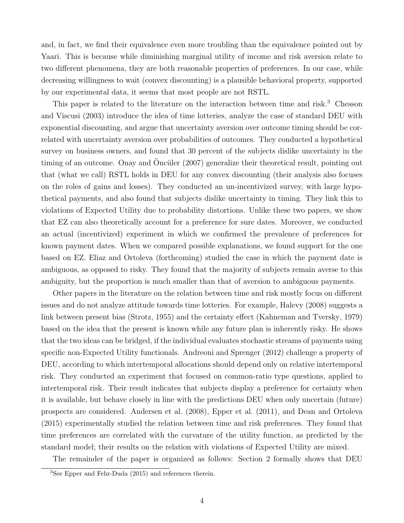and, in fact, we find their equivalence even more troubling than the equivalence pointed out by Yaari. This is because while diminishing marginal utility of income and risk aversion relate to two different phenomena, they are both reasonable properties of preferences. In our case, while decreasing willingness to wait (convex discounting) is a plausible behavioral property, supported by our experimental data, it seems that most people are not RSTL.

This paper is related to the literature on the interaction between time and risk.<sup>3</sup> Chesson and Viscusi (2003) introduce the idea of time lotteries, analyze the case of standard DEU with exponential discounting, and argue that uncertainty aversion over outcome timing should be correlated with uncertainty aversion over probabilities of outcomes. They conducted a hypothetical survey on business owners, and found that 30 percent of the subjects dislike uncertainty in the timing of an outcome. Onay and Oncüler  $(2007)$  generalize their theoretical result, pointing out that (what we call) RSTL holds in DEU for any convex discounting (their analysis also focuses on the roles of gains and losses). They conducted an un-incentivized survey, with large hypothetical payments, and also found that subjects dislike uncertainty in timing. They link this to violations of Expected Utility due to probability distortions. Unlike these two papers, we show that EZ can also theoretically account for a preference for sure dates. Moreover, we conducted an actual (incentivized) experiment in which we confirmed the prevalence of preferences for known payment dates. When we compared possible explanations, we found support for the one based on EZ. Eliaz and Ortoleva (forthcoming) studied the case in which the payment date is ambiguous, as opposed to risky. They found that the majority of subjects remain averse to this ambiguity, but the proportion is much smaller than that of aversion to ambiguous payments.

Other papers in the literature on the relation between time and risk mostly focus on different issues and do not analyze attitude towards time lotteries. For example, Halevy (2008) suggests a link between present bias (Strotz, 1955) and the certainty effect (Kahneman and Tversky, 1979) based on the idea that the present is known while any future plan is inherently risky. He shows that the two ideas can be bridged, if the individual evaluates stochastic streams of payments using specific non-Expected Utility functionals. Andreoni and Sprenger (2012) challenge a property of DEU, according to which intertemporal allocations should depend only on relative intertemporal risk. They conducted an experiment that focused on common-ratio type questions, applied to intertemporal risk. Their result indicates that subjects display a preference for certainty when it is available, but behave closely in line with the predictions DEU when only uncertain (future) prospects are considered. Andersen et al. (2008), Epper et al. (2011), and Dean and Ortoleva (2015) experimentally studied the relation between time and risk preferences. They found that time preferences are correlated with the curvature of the utility function, as predicted by the standard model; their results on the relation with violations of Expected Utility are mixed.

The remainder of the paper is organized as follows: Section 2 formally shows that DEU

<sup>3</sup>See Epper and Fehr-Duda (2015) and references therein.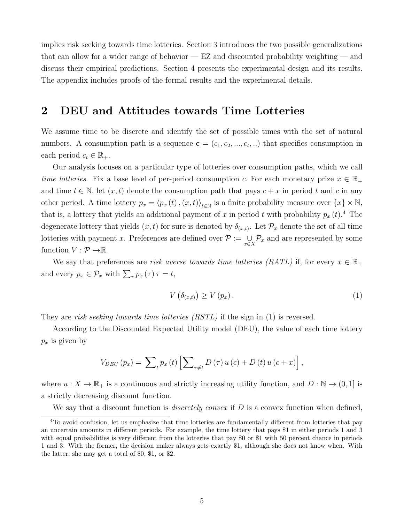implies risk seeking towards time lotteries. Section 3 introduces the two possible generalizations that can allow for a wider range of behavior — EZ and discounted probability weighting — and discuss their empirical predictions. Section 4 presents the experimental design and its results. The appendix includes proofs of the formal results and the experimental details.

### 2 DEU and Attitudes towards Time Lotteries

We assume time to be discrete and identify the set of possible times with the set of natural numbers. A consumption path is a sequence  $\mathbf{c} = (c_1, c_2, ..., c_t, ...)$  that specifies consumption in each period  $c_t \in \mathbb{R}_+$ .

Our analysis focuses on a particular type of lotteries over consumption paths, which we call time lotteries. Fix a base level of per-period consumption c. For each monetary prize  $x \in \mathbb{R}_+$ and time  $t \in \mathbb{N}$ , let  $(x, t)$  denote the consumption path that pays  $c + x$  in period t and c in any other period. A time lottery  $p_x = \langle p_x(t), (x, t) \rangle_{t \in \mathbb{N}}$  is a finite probability measure over  $\{x\} \times \mathbb{N}$ , that is, a lottery that yields an additional payment of x in period t with probability  $p_x(t)$ .<sup>4</sup> The degenerate lottery that yields  $(x, t)$  for sure is denoted by  $\delta_{(x,t)}$ . Let  $\mathcal{P}_x$  denote the set of all time lotteries with payment x. Preferences are defined over  $\mathcal{P} := \bigcup_{x \in X} \mathcal{P}_x$  and are represented by some function  $V : \mathcal{P} \rightarrow \mathbb{R}$ .

We say that preferences are risk averse towards time lotteries (RATL) if, for every  $x \in \mathbb{R}_+$ and every  $p_x \in \mathcal{P}_x$  with  $\sum_{\tau} p_x(\tau) \tau = t$ ,

$$
V\left(\delta_{(x,t)}\right) \ge V\left(p_x\right). \tag{1}
$$

They are risk seeking towards time lotteries  $(RSTL)$  if the sign in (1) is reversed.

According to the Discounted Expected Utility model (DEU), the value of each time lottery  $p_x$  is given by

$$
V_{DEU}(p_x) = \sum_{t} p_x(t) \left[ \sum_{\tau \neq t} D(\tau) u(c) + D(t) u(c+x) \right],
$$

where  $u: X \to \mathbb{R}_+$  is a continuous and strictly increasing utility function, and  $D: \mathbb{N} \to (0, 1]$  is a strictly decreasing discount function.

We say that a discount function is *discretely convex* if  $D$  is a convex function when defined,

<sup>&</sup>lt;sup>4</sup>To avoid confusion, let us emphasize that time lotteries are fundamentally different from lotteries that pay an uncertain amounts in different periods. For example, the time lottery that pays \$1 in either periods 1 and 3 with equal probabilities is very different from the lotteries that pay \$0 or \$1 with 50 percent chance in periods 1 and 3. With the former, the decision maker always gets exactly \$1, although she does not know when. With the latter, she may get a total of \$0, \$1, or \$2.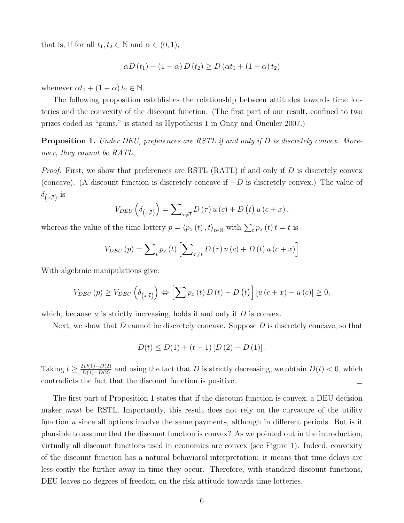that is, if for all  $t_1, t_2 \in \mathbb{N}$  and  $\alpha \in (0, 1)$ ,

$$
\alpha D(t_1) + (1 - \alpha) D(t_2) \ge D(\alpha t_1 + (1 - \alpha) t_2)
$$

whenever  $\alpha t_1 + (1 - \alpha) t_2 \in \mathbb{N}$ .

The following proposition establishes the relationship between attitudes towards time lotteries and the convexity of the discount function. (The first part of our result, confined to two prizes coded as "gains," is stated as Hypothesis 1 in Onay and Oncüler 2007.)

**Proposition 1.** Under DEU, preferences are RSTL if and only if D is discretely convex. Moreover, they cannot be RATL.

*Proof.* First, we show that preferences are RSTL (RATL) if and only if  $D$  is discretely convex (concave). (A discount function is discretely concave if  $-D$  is discretely convex.) The value of  $\delta_{(x,\bar{t})}$  is

$$
V_{DEU}\left(\delta_{\left(x,\overline{t}\right)}\right)=\sum\nolimits_{\tau\neq\overline{t}}D\left(\tau\right)u\left(c\right)+D\left(\overline{t}\right)u\left(c+x\right),\,
$$

whereas the value of the time lottery  $p = \langle p_x(t), t \rangle_{t \in \mathbb{N}}$  with  $\sum_t p_x(t) t = \overline{t}$  is

$$
V_{DEU}(p) = \sum_{t} p_x(t) \left[ \sum_{\tau \neq t} D(\tau) u(c) + D(t) u(c+x) \right]
$$

With algebraic manipulations give:

$$
V_{DEU}(p) \ge V_{DEU}\left(\delta_{(x,\bar{t})}\right) \Leftrightarrow \left[\sum p_x\left(t\right)D\left(t\right) - D\left(\bar{t}\right)\right]\left[u\left(c+x\right) - u\left(c\right)\right] \ge 0,
$$

which, because  $u$  is strictly increasing, holds if and only if  $D$  is convex.

Next, we show that  $D$  cannot be discretely concave. Suppose  $D$  is discretely concave, so that

$$
D(t) \le D(1) + (t - 1) [D(2) - D(1)].
$$

Taking  $t \geq \frac{2D(1)-D(2)}{D(1)-D(2)}$  and using the fact that D is strictly decreasing, we obtain  $D(t) < 0$ , which contradicts the fact that the discount function is positive.  $\Box$ 

The first part of Proposition 1 states that if the discount function is convex, a DEU decision maker *must* be RSTL. Importantly, this result does not rely on the curvature of the utility function u since all options involve the same payments, although in different periods. But is it plausible to assume that the discount function is convex? As we pointed out in the introduction, virtually all discount functions used in economics are convex (see Figure 1). Indeed, convexity of the discount function has a natural behavioral interpretation: it means that time delays are less costly the further away in time they occur. Therefore, with standard discount functions, DEU leaves no degrees of freedom on the risk attitude towards time lotteries.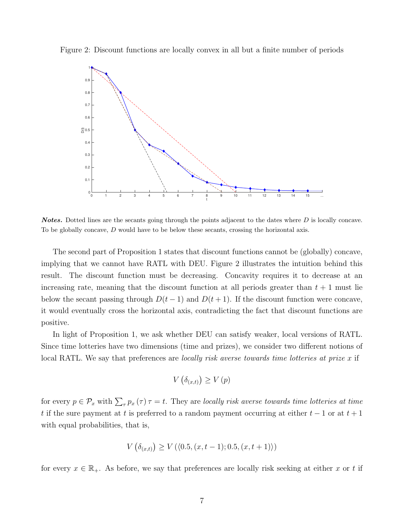Figure 2: Discount functions are locally convex in all but a finite number of periods



**Notes.** Dotted lines are the secants going through the points adjacent to the dates where D is locally concave. To be globally concave, D would have to be below these secants, crossing the horizontal axis.

The second part of Proposition 1 states that discount functions cannot be (globally) concave, implying that we cannot have RATL with DEU. Figure 2 illustrates the intuition behind this result. The discount function must be decreasing. Concavity requires it to decrease at an increasing rate, meaning that the discount function at all periods greater than  $t + 1$  must lie below the secant passing through  $D(t-1)$  and  $D(t+1)$ . If the discount function were concave, it would eventually cross the horizontal axis, contradicting the fact that discount functions are positive.

In light of Proposition 1, we ask whether DEU can satisfy weaker, local versions of RATL. Since time lotteries have two dimensions (time and prizes), we consider two different notions of local RATL. We say that preferences are *locally risk averse towards time lotteries at prize x* if

$$
V\left(\delta_{(x,t)}\right) \ge V\left(p\right)
$$

for every  $p \in \mathcal{P}_x$  with  $\sum_{\tau} p_x(\tau) \tau = t$ . They are locally risk averse towards time lotteries at time t if the sure payment at t is preferred to a random payment occurring at either  $t-1$  or at  $t+1$ with equal probabilities, that is,

$$
V\left(\delta_{(x,t)}\right) \ge V\left(\langle 0.5, (x, t-1); 0.5, (x, t+1)\rangle\right)
$$

for every  $x \in \mathbb{R}_+$ . As before, we say that preferences are locally risk seeking at either x or t if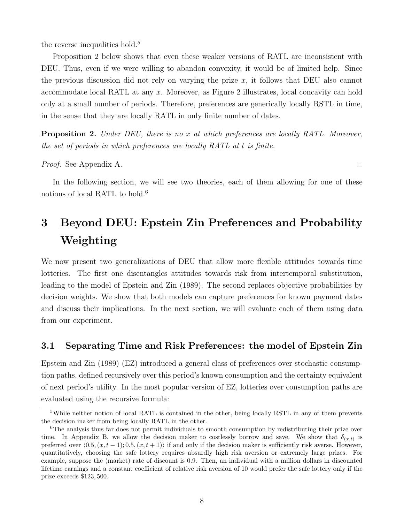the reverse inequalities hold.<sup>5</sup>

Proposition 2 below shows that even these weaker versions of RATL are inconsistent with DEU. Thus, even if we were willing to abandon convexity, it would be of limited help. Since the previous discussion did not rely on varying the prize  $x$ , it follows that DEU also cannot accommodate local RATL at any x. Moreover, as Figure 2 illustrates, local concavity can hold only at a small number of periods. Therefore, preferences are generically locally RSTL in time, in the sense that they are locally RATL in only finite number of dates.

**Proposition 2.** Under DEU, there is no x at which preferences are locally RATL. Moreover, the set of periods in which preferences are locally RATL at t is finite.

Proof. See Appendix A.

In the following section, we will see two theories, each of them allowing for one of these notions of local RATL to hold.<sup>6</sup>

## 3 Beyond DEU: Epstein Zin Preferences and Probability Weighting

We now present two generalizations of DEU that allow more flexible attitudes towards time lotteries. The first one disentangles attitudes towards risk from intertemporal substitution, leading to the model of Epstein and Zin (1989). The second replaces objective probabilities by decision weights. We show that both models can capture preferences for known payment dates and discuss their implications. In the next section, we will evaluate each of them using data from our experiment.

### 3.1 Separating Time and Risk Preferences: the model of Epstein Zin

Epstein and Zin (1989) (EZ) introduced a general class of preferences over stochastic consumption paths, defined recursively over this period's known consumption and the certainty equivalent of next period's utility. In the most popular version of EZ, lotteries over consumption paths are evaluated using the recursive formula:

 $\Box$ 

<sup>5</sup>While neither notion of local RATL is contained in the other, being locally RSTL in any of them prevents the decision maker from being locally RATL in the other.

<sup>&</sup>lt;sup>6</sup>The analysis thus far does not permit individuals to smooth consumption by redistributing their prize over time. In Appendix B, we allow the decision maker to costlessly borrow and save. We show that  $\delta_{(x,t)}$  is preferred over  $(0.5, (x, t - 1); 0.5, (x, t + 1))$  if and only if the decision maker is sufficiently risk averse. However, quantitatively, choosing the safe lottery requires absurdly high risk aversion or extremely large prizes. For example, suppose the (market) rate of discount is 0.9. Then, an individual with a million dollars in discounted lifetime earnings and a constant coefficient of relative risk aversion of 10 would prefer the safe lottery only if the prize exceeds \$123, 500.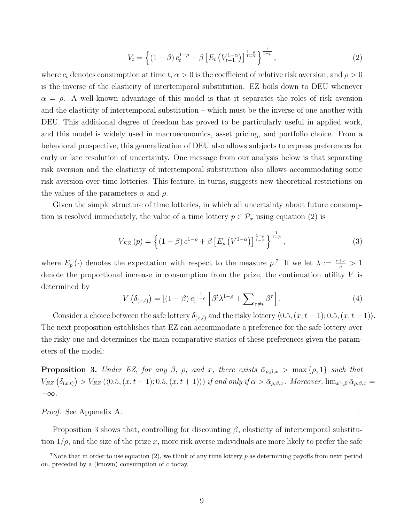$$
V_t = \left\{ (1 - \beta) c_t^{1 - \rho} + \beta \left[ E_t \left( V_{t+1}^{1 - \alpha} \right) \right]^{\frac{1 - \rho}{1 - \alpha}} \right\}^{\frac{1}{1 - \rho}},\tag{2}
$$

where  $c_t$  denotes consumption at time  $t, \alpha > 0$  is the coefficient of relative risk aversion, and  $\rho > 0$ is the inverse of the elasticity of intertemporal substitution. EZ boils down to DEU whenever  $\alpha = \rho$ . A well-known advantage of this model is that it separates the roles of risk aversion and the elasticity of intertemporal substitution – which must be the inverse of one another with DEU. This additional degree of freedom has proved to be particularly useful in applied work, and this model is widely used in macroeconomics, asset pricing, and portfolio choice. From a behavioral prospective, this generalization of DEU also allows subjects to express preferences for early or late resolution of uncertainty. One message from our analysis below is that separating risk aversion and the elasticity of intertemporal substitution also allows accommodating some risk aversion over time lotteries. This feature, in turns, suggests new theoretical restrictions on the values of the parameters  $\alpha$  and  $\rho$ .

Given the simple structure of time lotteries, in which all uncertainty about future consumption is resolved immediately, the value of a time lottery  $p \in \mathcal{P}_x$  using equation (2) is

$$
V_{EZ}(p) = \left\{ \left(1 - \beta\right) c^{1-\rho} + \beta \left[E_p\left(V^{1-\alpha}\right)\right]^{\frac{1-\rho}{1-\alpha}} \right\}^{\frac{1}{1-\rho}},\tag{3}
$$

where  $E_p(\cdot)$  denotes the expectation with respect to the measure p.<sup>7</sup> If we let  $\lambda := \frac{c+x}{c} > 1$ denote the proportional increase in consumption from the prize, the continuation utility V is determined by

$$
V\left(\delta_{(x,t)}\right) = \left[\left(1-\beta\right)c\right]_{\frac{1-\rho}{1-\rho}} \left[\beta^t \lambda^{1-\rho} + \sum_{\tau \neq t} \beta^\tau\right].\tag{4}
$$

 $\Box$ 

Consider a choice between the safe lottery  $\delta_{(x,t)}$  and the risky lottery  $\langle 0.5,(x,t-1);0.5,(x,t+1)\rangle$ . The next proposition establishes that EZ can accommodate a preference for the safe lottery over the risky one and determines the main comparative statics of these preferences given the parameters of the model:

**Proposition 3.** Under EZ, for any  $\beta$ ,  $\rho$ , and x, there exists  $\bar{\alpha}_{\rho,\beta,x} > \max\{\rho,1\}$  such that  $V_{EZ}(\delta_{(x,t)}) > V_{EZ}(\langle 0.5, (x, t-1); 0.5, (x, t+1) \rangle)$  if and only if  $\alpha > \bar{\alpha}_{\rho,\beta,x}$ . Moreover,  $\lim_{x\searrow 0} \bar{\alpha}_{\rho,\beta,x} =$  $+\infty$ .

#### Proof. See Appendix A.

Proposition 3 shows that, controlling for discounting  $\beta$ , elasticity of intertemporal substitution  $1/\rho$ , and the size of the prize x, more risk averse individuals are more likely to prefer the safe

<sup>&</sup>lt;sup>7</sup>Note that in order to use equation (2), we think of any time lottery  $p$  as determining payoffs from next period on, preceded by a (known) consumption of c today.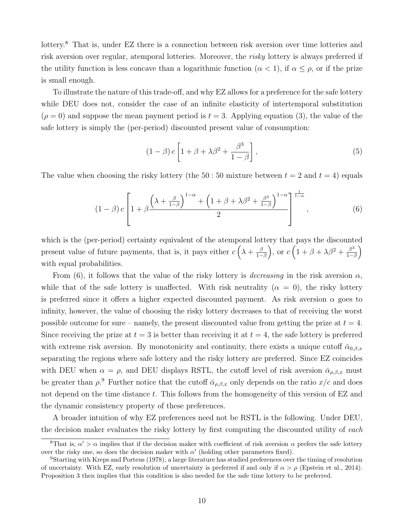lottery.<sup>8</sup> That is, under EZ there is a connection between risk aversion over time lotteries and risk aversion over regular, atemporal lotteries. Moreover, the risky lottery is always preferred if the utility function is less concave than a logarithmic function  $(\alpha < 1)$ , if  $\alpha \leq \rho$ , or if the prize is small enough.

To illustrate the nature of this trade-off, and why EZ allows for a preference for the safe lottery while DEU does not, consider the case of an infinite elasticity of intertemporal substitution  $(\rho = 0)$  and suppose the mean payment period is  $t = 3$ . Applying equation (3), the value of the safe lottery is simply the (per-period) discounted present value of consumption:

$$
(1 - \beta) c \left[ 1 + \beta + \lambda \beta^2 + \frac{\beta^3}{1 - \beta} \right],
$$
\n(5)

The value when choosing the risky lottery (the  $50:50$  mixture between  $t = 2$  and  $t = 4$ ) equals

$$
(1 - \beta) c \left[ 1 + \beta \frac{\left(\lambda + \frac{\beta}{1 - \beta}\right)^{1 - \alpha} + \left(1 + \beta + \lambda \beta^2 + \frac{\beta^3}{1 - \beta}\right)^{1 - \alpha}}{2} \right]^{\frac{1}{1 - \alpha}}, \tag{6}
$$

which is the (per-period) certainty equivalent of the atemporal lottery that pays the discounted present value of future payments, that is, it pays either  $c(\lambda + \frac{\beta}{1-\lambda})$  $\left(\frac{\beta}{1-\beta}\right)$ , or  $c\left(1+\beta+\lambda\beta^2+\frac{\beta^3}{1-\beta}\right)$  $\frac{\beta^3}{1-\beta}$ with equal probabilities.

From (6), it follows that the value of the risky lottery is *decreasing* in the risk aversion  $\alpha$ , while that of the safe lottery is unaffected. With risk neutrality  $(\alpha = 0)$ , the risky lottery is preferred since it offers a higher expected discounted payment. As risk aversion  $\alpha$  goes to infinity, however, the value of choosing the risky lottery decreases to that of receiving the worst possible outcome for sure – namely, the present discounted value from getting the prize at  $t = 4$ . Since receiving the prize at  $t = 3$  is better than receiving it at  $t = 4$ , the safe lottery is preferred with extreme risk aversion. By monotonicity and continuity, there exists a unique cutoff  $\bar{\alpha}_{0,\beta,x}$ separating the regions where safe lottery and the risky lottery are preferred. Since EZ coincides with DEU when  $\alpha = \rho$ , and DEU displays RSTL, the cutoff level of risk aversion  $\bar{\alpha}_{\rho,\beta,x}$  must be greater than  $\rho$ <sup>9</sup>. Further notice that the cutoff  $\bar{\alpha}_{\rho,\beta,x}$  only depends on the ratio  $x/c$  and does not depend on the time distance t. This follows from the homogeneity of this version of EZ and the dynamic consistency property of these preferences.

A broader intuition of why EZ preferences need not be RSTL is the following. Under DEU, the decision maker evaluates the risky lottery by first computing the discounted utility of each

<sup>&</sup>lt;sup>8</sup>That is,  $\alpha' > \alpha$  implies that if the decision maker with coefficient of risk aversion  $\alpha$  prefers the safe lottery over the risky one, so does the decision maker with  $\alpha'$  (holding other parameters fixed).

<sup>9</sup>Starting with Kreps and Porteus (1978), a large literature has studied preferences over the timing of resolution of uncertainty. With EZ, early resolution of uncertainty is preferred if and only if  $\alpha > \rho$  (Epstein et al., 2014). Proposition 3 then implies that this condition is also needed for the safe time lottery to be preferred.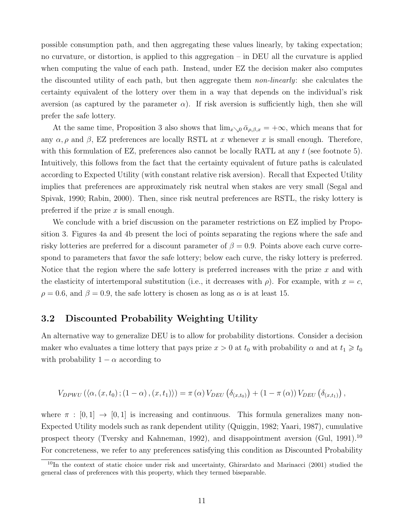possible consumption path, and then aggregating these values linearly, by taking expectation; no curvature, or distortion, is applied to this aggregation – in DEU all the curvature is applied when computing the value of each path. Instead, under EZ the decision maker also computes the discounted utility of each path, but then aggregate them non-linearly: she calculates the certainty equivalent of the lottery over them in a way that depends on the individual's risk aversion (as captured by the parameter  $\alpha$ ). If risk aversion is sufficiently high, then she will prefer the safe lottery.

At the same time, Proposition 3 also shows that  $\lim_{x\searrow0} \bar{\alpha}_{\rho,\beta,x} = +\infty$ , which means that for any  $\alpha$ ,  $\rho$  and  $\beta$ , EZ preferences are locally RSTL at x whenever x is small enough. Therefore, with this formulation of EZ, preferences also cannot be locally RATL at any  $t$  (see footnote 5). Intuitively, this follows from the fact that the certainty equivalent of future paths is calculated according to Expected Utility (with constant relative risk aversion). Recall that Expected Utility implies that preferences are approximately risk neutral when stakes are very small (Segal and Spivak, 1990; Rabin, 2000). Then, since risk neutral preferences are RSTL, the risky lottery is preferred if the prize  $x$  is small enough.

We conclude with a brief discussion on the parameter restrictions on EZ implied by Proposition 3. Figures 4a and 4b present the loci of points separating the regions where the safe and risky lotteries are preferred for a discount parameter of  $\beta = 0.9$ . Points above each curve correspond to parameters that favor the safe lottery; below each curve, the risky lottery is preferred. Notice that the region where the safe lottery is preferred increases with the prize  $x$  and with the elasticity of intertemporal substitution (i.e., it decreases with  $\rho$ ). For example, with  $x = c$ ,  $\rho = 0.6$ , and  $\beta = 0.9$ , the safe lottery is chosen as long as  $\alpha$  is at least 15.

#### 3.2 Discounted Probability Weighting Utility

An alternative way to generalize DEU is to allow for probability distortions. Consider a decision maker who evaluates a time lottery that pays prize  $x > 0$  at  $t_0$  with probability  $\alpha$  and at  $t_1 \geq t_0$ with probability  $1 - \alpha$  according to

$$
V_{DPWU}(\langle \alpha, (x, t_0); (1 - \alpha), (x, t_1) \rangle) = \pi(\alpha) V_{DEU}(\delta_{(x, t_0)}) + (1 - \pi(\alpha)) V_{DEU}(\delta_{(x, t_1)}),
$$

where  $\pi : [0,1] \rightarrow [0,1]$  is increasing and continuous. This formula generalizes many non-Expected Utility models such as rank dependent utility (Quiggin, 1982; Yaari, 1987), cumulative prospect theory (Tversky and Kahneman, 1992), and disappointment aversion (Gul, 1991).<sup>10</sup> For concreteness, we refer to any preferences satisfying this condition as Discounted Probability

 $10$ In the context of static choice under risk and uncertainty, Ghirardato and Marinacci (2001) studied the general class of preferences with this property, which they termed biseparable.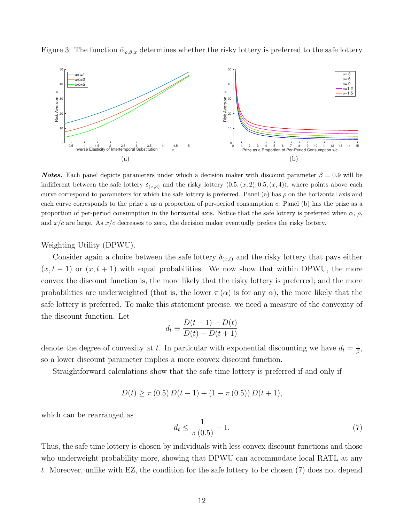Figure 3: The function  $\bar{\alpha}_{\rho,\beta,x}$  determines whether the risky lottery is preferred to the safe lottery



**Notes.** Each panel depicts parameters under which a decision maker with discount parameter  $\beta = 0.9$  will be indifferent between the safe lottery  $\delta_{(x,3)}$  and the risky lottery  $\langle 0.5,(x,2);0.5,(x,4)\rangle$ , where points above each curve correspond to parameters for which the safe lottery is preferred. Panel (a) has  $\rho$  on the horizontal axis and each curve corresponds to the prize x as a proportion of per-period consumption  $c$ . Panel (b) has the prize as a proportion of per-period consumption in the horizontal axis. Notice that the safe lottery is preferred when  $\alpha$ ,  $\rho$ , and  $x/c$  are large. As  $x/c$  decreases to zero, the decision maker eventually prefers the risky lottery.

Weighting Utility (DPWU).

Consider again a choice between the safe lottery  $\delta_{(x,t)}$  and the risky lottery that pays either  $(x, t-1)$  or  $(x, t+1)$  with equal probabilities. We now show that within DPWU, the more convex the discount function is, the more likely that the risky lottery is preferred; and the more probabilities are underweighted (that is, the lower  $\pi(\alpha)$  is for any  $\alpha$ ), the more likely that the safe lottery is preferred. To make this statement precise, we need a measure of the convexity of the discount function. Let

$$
d_t \equiv \frac{D(t-1) - D(t)}{D(t) - D(t+1)}
$$

denote the degree of convexity at t. In particular with exponential discounting we have  $d_t = \frac{1}{\beta}$  $\frac{1}{\beta},$ so a lower discount parameter implies a more convex discount function.

Straightforward calculations show that the safe time lottery is preferred if and only if

$$
D(t) \ge \pi (0.5) D(t-1) + (1 - \pi (0.5)) D(t+1),
$$

which can be rearranged as

$$
d_t \le \frac{1}{\pi (0.5)} - 1. \tag{7}
$$

Thus, the safe time lottery is chosen by individuals with less convex discount functions and those who underweight probability more, showing that DPWU can accommodate local RATL at any t. Moreover, unlike with EZ, the condition for the safe lottery to be chosen (7) does not depend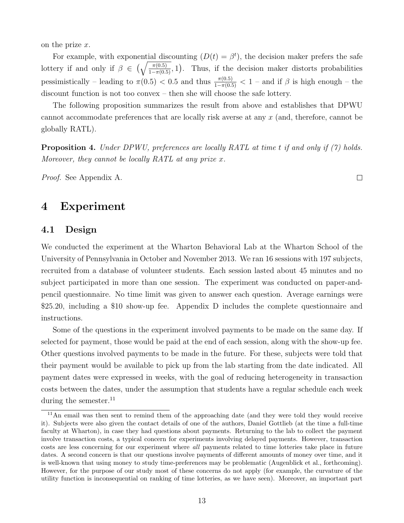on the prize x.

For example, with exponential discounting  $(D(t) = \beta^t)$ , the decision maker prefers the safe lottery if and only if  $\beta \in \left(\sqrt{\frac{\pi(0.5)}{1-\pi(0.5)}}, 1\right)$ . Thus, if the decision maker distorts probabilities pessimistically – leading to  $\pi(0.5) < 0.5$  and thus  $\frac{\pi(0.5)}{1-\pi(0.5)} < 1$  – and if  $\beta$  is high enough – the discount function is not too convex – then she will choose the safe lottery.

The following proposition summarizes the result from above and establishes that DPWU cannot accommodate preferences that are locally risk averse at any x (and, therefore, cannot be globally RATL).

Proposition 4. Under DPWU, preferences are locally RATL at time t if and only if (7) holds. Moreover, they cannot be locally RATL at any prize  $x$ .

 $\Box$ 

Proof. See Appendix A.

## 4 Experiment

#### 4.1 Design

We conducted the experiment at the Wharton Behavioral Lab at the Wharton School of the University of Pennsylvania in October and November 2013. We ran 16 sessions with 197 subjects, recruited from a database of volunteer students. Each session lasted about 45 minutes and no subject participated in more than one session. The experiment was conducted on paper-andpencil questionnaire. No time limit was given to answer each question. Average earnings were \$25.20, including a \$10 show-up fee. Appendix D includes the complete questionnaire and instructions.

Some of the questions in the experiment involved payments to be made on the same day. If selected for payment, those would be paid at the end of each session, along with the show-up fee. Other questions involved payments to be made in the future. For these, subjects were told that their payment would be available to pick up from the lab starting from the date indicated. All payment dates were expressed in weeks, with the goal of reducing heterogeneity in transaction costs between the dates, under the assumption that students have a regular schedule each week during the semester. $^{11}$ 

<sup>11</sup>An email was then sent to remind them of the approaching date (and they were told they would receive it). Subjects were also given the contact details of one of the authors, Daniel Gottlieb (at the time a full-time faculty at Wharton), in case they had questions about payments. Returning to the lab to collect the payment involve transaction costs, a typical concern for experiments involving delayed payments. However, transaction costs are less concerning for our experiment where all payments related to time lotteries take place in future dates. A second concern is that our questions involve payments of different amounts of money over time, and it is well-known that using money to study time-preferences may be problematic (Augenblick et al., forthcoming). However, for the purpose of our study most of these concerns do not apply (for example, the curvature of the utility function is inconsequential on ranking of time lotteries, as we have seen). Moreover, an important part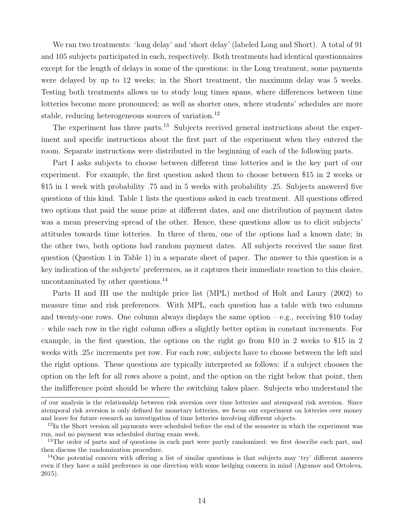We ran two treatments: 'long delay' and 'short delay' (labeled Long and Short). A total of 91 and 105 subjects participated in each, respectively. Both treatments had identical questionnaires except for the length of delays in some of the questions: in the Long treatment, some payments were delayed by up to 12 weeks; in the Short treatment, the maximum delay was 5 weeks. Testing both treatments allows us to study long times spans, where differences between time lotteries become more pronounced; as well as shorter ones, where students' schedules are more stable, reducing heterogeneous sources of variation.<sup>12</sup>

The experiment has three parts.<sup>13</sup> Subjects received general instructions about the experiment and specific instructions about the first part of the experiment when they entered the room. Separate instructions were distributed in the beginning of each of the following parts.

Part I asks subjects to choose between different time lotteries and is the key part of our experiment. For example, the first question asked them to choose between \$15 in 2 weeks or \$15 in 1 week with probability .75 and in 5 weeks with probability .25. Subjects answered five questions of this kind. Table 1 lists the questions asked in each treatment. All questions offered two options that paid the same prize at different dates, and one distribution of payment dates was a mean preserving spread of the other. Hence, these questions allow us to elicit subjects' attitudes towards time lotteries. In three of them, one of the options had a known date; in the other two, both options had random payment dates. All subjects received the same first question (Question 1 in Table 1) in a separate sheet of paper. The answer to this question is a key indication of the subjects' preferences, as it captures their immediate reaction to this choice, uncontaminated by other questions.<sup>14</sup>

Parts II and III use the multiple price list (MPL) method of Holt and Laury (2002) to measure time and risk preferences. With MPL, each question has a table with two columns and twenty-one rows. One column always displays the same option  $-e.g.,$  receiving \$10 today – while each row in the right column offers a slightly better option in constant increments. For example, in the first question, the options on the right go from \$10 in 2 weeks to \$15 in 2 weeks with .25c increments per row. For each row, subjects have to choose between the left and the right options. These questions are typically interpreted as follows: if a subject chooses the option on the left for all rows above a point, and the option on the right below that point, then the indifference point should be where the switching takes place. Subjects who understand the

of our analysis is the relationship between risk aversion over time lotteries and atemporal risk aversion. Since atemporal risk aversion is only defined for monetary lotteries, we focus our experiment on lotteries over money and leave for future research an investigation of time lotteries involving different objects.

<sup>&</sup>lt;sup>12</sup>In the Short version all payments were scheduled before the end of the semester in which the experiment was run, and no payment was scheduled during exam week.

<sup>&</sup>lt;sup>13</sup>The order of parts and of questions in each part were partly randomized: we first describe each part, and then discuss the randomization procedure.

<sup>&</sup>lt;sup>14</sup>One potential concern with offering a list of similar questions is that subjects may 'try' different answers even if they have a mild preference in one direction with some hedging concern in mind (Agranov and Ortoleva, 2015).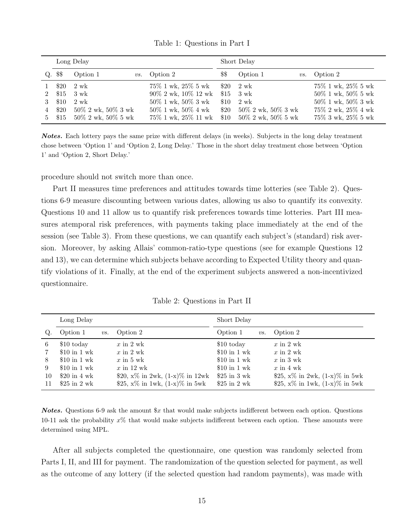|             |         | Long Delay               |                           | Short Delay |                             |                          |  |  |
|-------------|---------|--------------------------|---------------------------|-------------|-----------------------------|--------------------------|--|--|
|             | Q. \$\$ | Option 1                 | <i>vs.</i> Option 2       | \$\$        | Option 1                    | <i>vs.</i> Option 2      |  |  |
|             | \$20    | 2 wk                     | 75\% 1 wk, 25\% 5 wk      |             | $$20 \quad 2 \text{ wk}$    | $75\%$ 1 wk, $25\%$ 5 wk |  |  |
| $2^{\circ}$ | \$15    | 3 wk                     | $90\%$ 2 wk, $10\%$ 12 wk |             | $$15 \quad 3 \text{ wk}$    | $50\%$ 1 wk, $50\%$ 5 wk |  |  |
|             | \$10    | $2 \text{ wk}$           | $50\%$ 1 wk, $50\%$ 3 wk  | \$10        | 2 wk                        | $50\%$ 1 wk, $50\%$ 3 wk |  |  |
| 4           | \$20    | $50\%$ 2 wk, $50\%$ 3 wk | $50\%$ 1 wk, $50\%$ 4 wk  |             | \$20 $50\%$ 2 wk, 50% 3 wk  | $75\%$ 2 wk, $25\%$ 4 wk |  |  |
| 5           | \$15    | $50\%$ 2 wk, $50\%$ 5 wk | 75% 1 wk, 25% 11 wk       |             | \$10 $50\%$ 2 wk, 50\% 5 wk | 75% 3 wk, 25% 5 wk       |  |  |

Table 1: Questions in Part I

Notes. Each lottery pays the same prize with different delays (in weeks). Subjects in the long delay treatment chose between 'Option 1' and 'Option 2, Long Delay.' Those in the short delay treatment chose between 'Option 1' and 'Option 2, Short Delay.'

procedure should not switch more than once.

Part II measures time preferences and attitudes towards time lotteries (see Table 2). Questions 6-9 measure discounting between various dates, allowing us also to quantify its convexity. Questions 10 and 11 allow us to quantify risk preferences towards time lotteries. Part III measures atemporal risk preferences, with payments taking place immediately at the end of the session (see Table 3). From these questions, we can quantify each subject's (standard) risk aversion. Moreover, by asking Allais' common-ratio-type questions (see for example Questions 12 and 13), we can determine which subjects behave according to Expected Utility theory and quantify violations of it. Finally, at the end of the experiment subjects answered a non-incentivized questionnaire.

| Table 2: Questions in Part II |  |
|-------------------------------|--|
|-------------------------------|--|

|                         | Long Delay                                                                                                                 |                |                                                                                                                                                        | Short Delay                                                                                                                |                                                                                                                                                       |  |  |  |
|-------------------------|----------------------------------------------------------------------------------------------------------------------------|----------------|--------------------------------------------------------------------------------------------------------------------------------------------------------|----------------------------------------------------------------------------------------------------------------------------|-------------------------------------------------------------------------------------------------------------------------------------------------------|--|--|--|
| Q                       | Option 1                                                                                                                   | $\mathit{vs.}$ | Option 2                                                                                                                                               | Option 1<br>$\mathit{vs.}$                                                                                                 | Option 2                                                                                                                                              |  |  |  |
| 6<br>8<br>9<br>10<br>11 | \$10 today<br>\$10 in $1 \text{ wk}$<br>$$10$ in 1 wk<br>$$10$ in 1 wk<br>\$20 in $4 \text{ wk}$<br>\$25 in $2 \text{ wk}$ |                | $x \in \{1, 2, \le k\}$<br>$x$ in 2 wk<br>$x$ in 5 wk<br>$x$ in 12 wk<br>\$20, $x\%$ in 2wk, $(1-x)\%$ in 12wk<br>\$25, $x\%$ in 1wk, $(1-x)\%$ in 5wk | \$10 today<br>$$10$ in 1 wk<br>\$10 in $1 \text{ wk}$<br>\$10 in $1 \text{ wk}$<br>$$25$ in 3 wk<br>\$25 in $2 \text{ wk}$ | $x \in \{1, 2, \ldots\}$<br>$x$ in 2 wk<br>$x$ in 3 wk<br>$x$ in 4 wk<br>\$25, $x\%$ in 2wk, $(1-x)\%$ in 5wk<br>\$25, $x\%$ in 1wk, $(1-x)\%$ in 5wk |  |  |  |

**Notes.** Questions 6-9 ask the amount  $x$  that would make subjects indifferent between each option. Questions 10-11 ask the probability  $x\%$  that would make subjects indifferent between each option. These amounts were determined using MPL.

After all subjects completed the questionnaire, one question was randomly selected from Parts I, II, and III for payment. The randomization of the question selected for payment, as well as the outcome of any lottery (if the selected question had random payments), was made with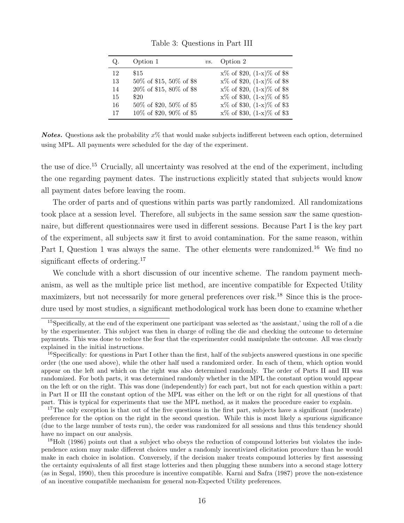| Q. | Option 1                | $\mathit{vs.}$ | Option 2                        |
|----|-------------------------|----------------|---------------------------------|
| 12 | \$15                    |                | $x\%$ of \$20, $(1-x)\%$ of \$8 |
| 13 | 50% of \$15, 50% of \$8 |                | $x\%$ of \$20, $(1-x)\%$ of \$8 |
| 14 | 20% of \$15, 80% of \$8 |                | $x\%$ of \$20, $(1-x)\%$ of \$8 |
| 15 | \$20                    |                | $x\%$ of \$30, $(1-x)\%$ of \$5 |
| 16 | 50% of \$20, 50% of \$5 |                | $x\%$ of \$30, $(1-x)\%$ of \$3 |
| 17 | 10% of \$20, 90% of \$5 |                | $x\%$ of \$30, $(1-x)\%$ of \$3 |

Table 3: Questions in Part III

**Notes.** Questions ask the probability  $x\%$  that would make subjects indifferent between each option, determined using MPL. All payments were scheduled for the day of the experiment.

the use of dice.<sup>15</sup> Crucially, all uncertainty was resolved at the end of the experiment, including the one regarding payment dates. The instructions explicitly stated that subjects would know all payment dates before leaving the room.

The order of parts and of questions within parts was partly randomized. All randomizations took place at a session level. Therefore, all subjects in the same session saw the same questionnaire, but different questionnaires were used in different sessions. Because Part I is the key part of the experiment, all subjects saw it first to avoid contamination. For the same reason, within Part I, Question 1 was always the same. The other elements were randomized.<sup>16</sup> We find no significant effects of ordering.<sup>17</sup>

We conclude with a short discussion of our incentive scheme. The random payment mechanism, as well as the multiple price list method, are incentive compatible for Expected Utility maximizers, but not necessarily for more general preferences over risk.<sup>18</sup> Since this is the procedure used by most studies, a significant methodological work has been done to examine whether

<sup>15</sup>Specifically, at the end of the experiment one participant was selected as 'the assistant,' using the roll of a die by the experimenter. This subject was then in charge of rolling the die and checking the outcome to determine payments. This was done to reduce the fear that the experimenter could manipulate the outcome. All was clearly explained in the initial instructions.

 $16$ Specifically: for questions in Part I other than the first, half of the subjects answered questions in one specific order (the one used above), while the other half used a randomized order. In each of them, which option would appear on the left and which on the right was also determined randomly. The order of Parts II and III was randomized. For both parts, it was determined randomly whether in the MPL the constant option would appear on the left or on the right. This was done (independently) for each part, but not for each question within a part: in Part II or III the constant option of the MPL was either on the left or on the right for all questions of that part. This is typical for experiments that use the MPL method, as it makes the procedure easier to explain.

 $17$ The only exception is that out of the five questions in the first part, subjects have a significant (moderate) preference for the option on the right in the second question. While this is most likely a spurious significance (due to the large number of tests run), the order was randomized for all sessions and thus this tendency should have no impact on our analysis.

<sup>&</sup>lt;sup>18</sup>Holt (1986) points out that a subject who obeys the reduction of compound lotteries but violates the independence axiom may make different choices under a randomly incentivized elicitation procedure than he would make in each choice in isolation. Conversely, if the decision maker treats compound lotteries by first assessing the certainty equivalents of all first stage lotteries and then plugging these numbers into a second stage lottery (as in Segal, 1990), then this procedure is incentive compatible. Karni and Safra (1987) prove the non-existence of an incentive compatible mechanism for general non-Expected Utility preferences.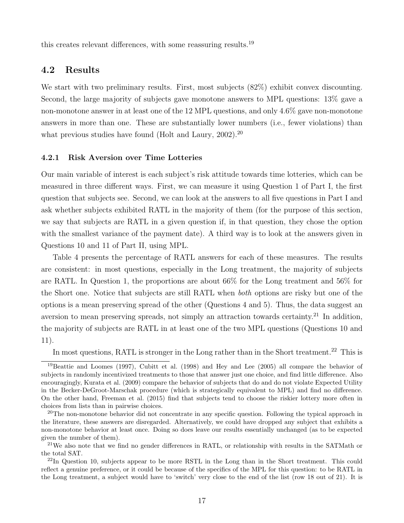this creates relevant differences, with some reassuring results.<sup>19</sup>

### 4.2 Results

We start with two preliminary results. First, most subjects  $(82\%)$  exhibit convex discounting. Second, the large majority of subjects gave monotone answers to MPL questions: 13% gave a non-monotone answer in at least one of the 12 MPL questions, and only 4.6% gave non-monotone answers in more than one. These are substantially lower numbers (i.e., fewer violations) than what previous studies have found (Holt and Laury, 2002).<sup>20</sup>

#### 4.2.1 Risk Aversion over Time Lotteries

Our main variable of interest is each subject's risk attitude towards time lotteries, which can be measured in three different ways. First, we can measure it using Question 1 of Part I, the first question that subjects see. Second, we can look at the answers to all five questions in Part I and ask whether subjects exhibited RATL in the majority of them (for the purpose of this section, we say that subjects are RATL in a given question if, in that question, they chose the option with the smallest variance of the payment date). A third way is to look at the answers given in Questions 10 and 11 of Part II, using MPL.

Table 4 presents the percentage of RATL answers for each of these measures. The results are consistent: in most questions, especially in the Long treatment, the majority of subjects are RATL. In Question 1, the proportions are about 66% for the Long treatment and 56% for the Short one. Notice that subjects are still RATL when both options are risky but one of the options is a mean preserving spread of the other (Questions 4 and 5). Thus, the data suggest an aversion to mean preserving spreads, not simply an attraction towards certainty.<sup>21</sup> In addition, the majority of subjects are RATL in at least one of the two MPL questions (Questions 10 and 11).

In most questions, RATL is stronger in the Long rather than in the Short treatment.<sup>22</sup> This is

<sup>19</sup>Beattie and Loomes (1997), Cubitt et al. (1998) and Hey and Lee (2005) all compare the behavior of subjects in randomly incentivized treatments to those that answer just one choice, and find little difference. Also encouragingly, Kurata et al. (2009) compare the behavior of subjects that do and do not violate Expected Utility in the Becker-DeGroot-Marschak procedure (which is strategically equivalent to MPL) and find no difference. On the other hand, Freeman et al. (2015) find that subjects tend to choose the riskier lottery more often in choices from lists than in pairwise choices.

<sup>&</sup>lt;sup>20</sup>The non-monotone behavior did not concentrate in any specific question. Following the typical approach in the literature, these answers are disregarded. Alternatively, we could have dropped any subject that exhibits a non-monotone behavior at least once. Doing so does leave our results essentially unchanged (as to be expected given the number of them).

<sup>&</sup>lt;sup>21</sup>We also note that we find no gender differences in RATL, or relationship with results in the SATMath or the total SAT.

 $^{22}$ In Question 10, subjects appear to be more RSTL in the Long than in the Short treatment. This could reflect a genuine preference, or it could be because of the specifics of the MPL for this question: to be RATL in the Long treatment, a subject would have to 'switch' very close to the end of the list (row 18 out of 21). It is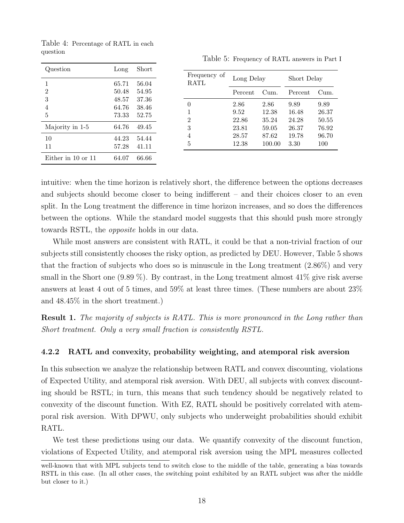|                    |                         |                         |                          | $- - - - - - - - - - -$ |                        |                        |                        |
|--------------------|-------------------------|-------------------------|--------------------------|-------------------------|------------------------|------------------------|------------------------|
| Question           | Long                    | Short                   |                          |                         |                        |                        |                        |
| T                  | 65.71                   | 56.04                   | Frequency of<br>RATL     | Long Delay              |                        | Short Delay            |                        |
| $\overline{2}$     | 50.48                   | 54.95                   |                          | Percent                 | Cum.                   | Percent                | Cum.                   |
| 3<br>4<br>$\bf 5$  | 48.57<br>64.76<br>73.33 | 37.36<br>38.46<br>52.75 | 0<br>1<br>$\overline{2}$ | 2.86<br>9.52<br>22.86   | 2.86<br>12.38<br>35.24 | 9.89<br>16.48<br>24.28 | 9.89<br>26.37<br>50.55 |
| Majority in 1-5    | 64.76                   | 49.45                   | 3                        | 23.81                   | 59.05                  | 26.37                  | 76.92                  |
| 10<br>11           | 44.23<br>57.28          | 54.44<br>41.11          | $\overline{4}$<br>5      | 28.57<br>12.38          | 87.62<br>100.00        | 19.78<br>3.30          | 96.70<br>100           |
| Either in 10 or 11 | 64.07                   | 66.66                   |                          |                         |                        |                        |                        |

Table 4: Percentage of RATL in each

question

Table 5: Frequency of RATL answers in Part I

intuitive: when the time horizon is relatively short, the difference between the options decreases and subjects should become closer to being indifferent – and their choices closer to an even split. In the Long treatment the difference in time horizon increases, and so does the differences between the options. While the standard model suggests that this should push more strongly towards RSTL, the opposite holds in our data.

While most answers are consistent with RATL, it could be that a non-trivial fraction of our subjects still consistently chooses the risky option, as predicted by DEU. However, Table 5 shows that the fraction of subjects who does so is minuscule in the Long treatment (2.86%) and very small in the Short one  $(9.89\%)$ . By contrast, in the Long treatment almost  $41\%$  give risk averse answers at least 4 out of 5 times, and 59% at least three times. (These numbers are about 23% and 48.45% in the short treatment.)

Result 1. The majority of subjects is RATL. This is more pronounced in the Long rather than Short treatment. Only a very small fraction is consistently RSTL.

#### 4.2.2 RATL and convexity, probability weighting, and atemporal risk aversion

In this subsection we analyze the relationship between RATL and convex discounting, violations of Expected Utility, and atemporal risk aversion. With DEU, all subjects with convex discounting should be RSTL; in turn, this means that such tendency should be negatively related to convexity of the discount function. With EZ, RATL should be positively correlated with atemporal risk aversion. With DPWU, only subjects who underweight probabilities should exhibit RATL.

We test these predictions using our data. We quantify convexity of the discount function, violations of Expected Utility, and atemporal risk aversion using the MPL measures collected

well-known that with MPL subjects tend to switch close to the middle of the table, generating a bias towards RSTL in this case. (In all other cases, the switching point exhibited by an RATL subject was after the middle but closer to it.)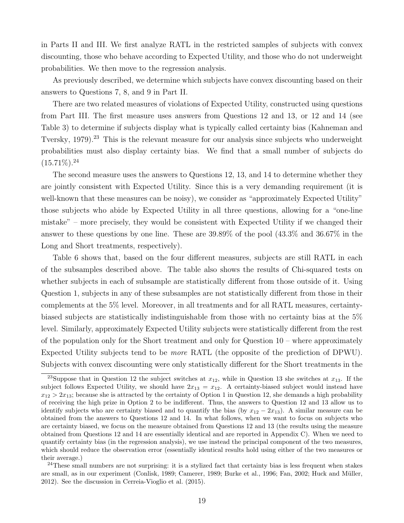in Parts II and III. We first analyze RATL in the restricted samples of subjects with convex discounting, those who behave according to Expected Utility, and those who do not underweight probabilities. We then move to the regression analysis.

As previously described, we determine which subjects have convex discounting based on their answers to Questions 7, 8, and 9 in Part II.

There are two related measures of violations of Expected Utility, constructed using questions from Part III. The first measure uses answers from Questions 12 and 13, or 12 and 14 (see Table 3) to determine if subjects display what is typically called certainty bias (Kahneman and Tversky, 1979).<sup>23</sup> This is the relevant measure for our analysis since subjects who underweight probabilities must also display certainty bias. We find that a small number of subjects do  $(15.71\%)$ <sup>24</sup>

The second measure uses the answers to Questions 12, 13, and 14 to determine whether they are jointly consistent with Expected Utility. Since this is a very demanding requirement (it is well-known that these measures can be noisy), we consider as "approximately Expected Utility" those subjects who abide by Expected Utility in all three questions, allowing for a "one-line mistake" – more precisely, they would be consistent with Expected Utility if we changed their answer to these questions by one line. These are 39.89% of the pool (43.3% and 36.67% in the Long and Short treatments, respectively).

Table 6 shows that, based on the four different measures, subjects are still RATL in each of the subsamples described above. The table also shows the results of Chi-squared tests on whether subjects in each of subsample are statistically different from those outside of it. Using Question 1, subjects in any of these subsamples are not statistically different from those in their complements at the 5% level. Moreover, in all treatments and for all RATL measures, certaintybiased subjects are statistically indistinguishable from those with no certainty bias at the 5% level. Similarly, approximately Expected Utility subjects were statistically different from the rest of the population only for the Short treatment and only for Question 10 – where approximately Expected Utility subjects tend to be more RATL (the opposite of the prediction of DPWU). Subjects with convex discounting were only statistically different for the Short treatments in the

<sup>&</sup>lt;sup>23</sup>Suppose that in Question 12 the subject switches at  $x_{12}$ , while in Question 13 she switches at  $x_{13}$ . If the subject follows Expected Utility, we should have  $2x_{13} = x_{12}$ . A certainty-biased subject would instead have  $x_{12} > 2x_{13}$ ; because she is attracted by the certainty of Option 1 in Question 12, she demands a high probability of receiving the high prize in Option 2 to be indifferent. Thus, the answers to Question 12 and 13 allow us to identify subjects who are certainty biased and to quantify the bias (by  $x_{12} - 2x_{13}$ ). A similar measure can be obtained from the answers to Questions 12 and 14. In what follows, when we want to focus on subjects who are certainty biased, we focus on the measure obtained from Questions 12 and 13 (the results using the measure obtained from Questions 12 and 14 are essentially identical and are reported in Appendix C). When we need to quantify certainty bias (in the regression analysis), we use instead the principal component of the two measures, which should reduce the observation error (essentially identical results hold using either of the two measures or their average.)

 $24$ These small numbers are not surprising: it is a stylized fact that certainty bias is less frequent when stakes are small, as in our experiment (Conlisk, 1989; Camerer, 1989; Burke et al., 1996; Fan, 2002; Huck and Müller, 2012). See the discussion in Cerreia-Vioglio et al. (2015).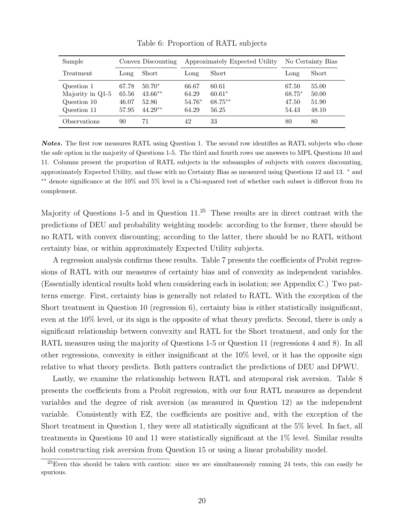| Sample                                                       | Convex Discounting               |                                             |                                   | Approximately Expected Utility          | No Certainty Bias                 |                                  |
|--------------------------------------------------------------|----------------------------------|---------------------------------------------|-----------------------------------|-----------------------------------------|-----------------------------------|----------------------------------|
| Treatment                                                    | Long                             | Short                                       | Long                              | Short                                   | Long                              | Short                            |
| Question 1<br>Majority in Q1-5<br>Question 10<br>Question 11 | 67.78<br>65.56<br>46.07<br>57.95 | $50.70*$<br>$43.66**$<br>52.86<br>$44.29**$ | 66.67<br>64.29<br>54.76*<br>64.29 | 60.61<br>$60.61*$<br>$68.75**$<br>56.25 | 67.50<br>68.75*<br>47.50<br>54.43 | 55.00<br>50.00<br>51.90<br>48.10 |
| <i><b>Observations</b></i>                                   | 90                               | 71                                          | 42                                | 33                                      | 80                                | 80                               |

Table 6: Proportion of RATL subjects

Notes. The first row measures RATL using Question 1. The second row identifies as RATL subjects who chose the safe option in the majority of Questions 1-5. The third and fourth rows use answers to MPL Questions 10 and 11. Columns present the proportion of RATL subjects in the subsamples of subjects with convex discounting, approximately Expected Utility, and those with no Certainty Bias as measured using Questions 12 and 13. <sup>∗</sup> and ∗∗ denote significance at the 10% and 5% level in a Chi-squared test of whether each subset is different from its complement.

Majority of Questions 1-5 and in Question 11.<sup>25</sup> These results are in direct contrast with the predictions of DEU and probability weighting models: according to the former, there should be no RATL with convex discounting; according to the latter, there should be no RATL without certainty bias, or within approximately Expected Utility subjects.

A regression analysis confirms these results. Table 7 presents the coefficients of Probit regressions of RATL with our measures of certainty bias and of convexity as independent variables. (Essentially identical results hold when considering each in isolation; see Appendix C.) Two patterns emerge. First, certainty bias is generally not related to RATL. With the exception of the Short treatment in Question 10 (regression 6), certainty bias is either statistically insignificant, even at the 10% level, or its sign is the opposite of what theory predicts. Second, there is only a significant relationship between convexity and RATL for the Short treatment, and only for the RATL measures using the majority of Questions 1-5 or Question 11 (regressions 4 and 8). In all other regressions, convexity is either insignificant at the 10% level, or it has the opposite sign relative to what theory predicts. Both patters contradict the predictions of DEU and DPWU.

Lastly, we examine the relationship between RATL and atemporal risk aversion. Table 8 presents the coefficients from a Probit regression, with our four RATL measures as dependent variables and the degree of risk aversion (as measured in Question 12) as the independent variable. Consistently with EZ, the coefficients are positive and, with the exception of the Short treatment in Question 1, they were all statistically significant at the 5% level. In fact, all treatments in Questions 10 and 11 were statistically significant at the 1% level. Similar results hold constructing risk aversion from Question 15 or using a linear probability model.

 $25$ Even this should be taken with caution: since we are simultaneously running 24 tests, this can easily be spurious.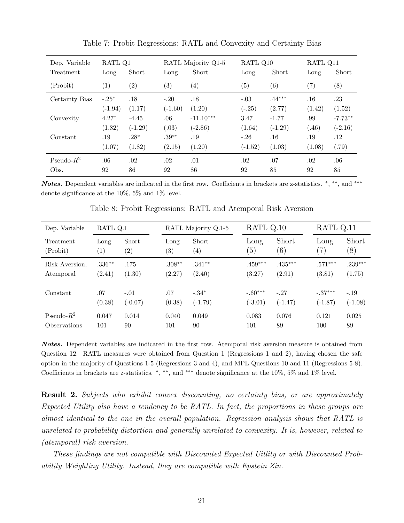| Dep. Variable  | RATL Q1   |                   |                   | RATL Majority Q1-5 |                   | RATL Q10  | RATL Q11          |           |
|----------------|-----------|-------------------|-------------------|--------------------|-------------------|-----------|-------------------|-----------|
| Treatment      | Long      | Short             | Long              | Short              | Long              | Short     | Long              | Short     |
| (Probit)       | (1)       | $\left( 2\right)$ | $\left( 3\right)$ | $\left( 4\right)$  | $\left( 5\right)$ | (6)       | $\left( 7\right)$ | (8)       |
| Certainty Bias | $-.25*$   | .18               | $-.20$            | .18                | $-.03$            | $.44***$  | .16               | .23       |
|                | $(-1.94)$ | (1.17)            | $(-1.60)$         | (1.20)             | $(-.25)$          | (2.77)    | (1.42)            | (1.52)    |
| Convexity      | $4.27*$   | $-4.45$           | .06               | $-11.10***$        | 3.47              | $-1.77$   | .99               | $-7.73**$ |
|                | (1.82)    | $(-1.29)$         | (.03)             | $(-2.86)$          | (1.64)            | $(-1.29)$ | (.46)             | $(-2.16)$ |
| Constant       | .19       | $.28*$            | $.39**$           | .19                | $-.26$            | .16       | .19               | .12       |
|                | (1.07)    | (1.82)            | (2.15)            | (1.20)             | $(-1.52)$         | (1.03)    | (1.08)            | (.79)     |
| Pseudo- $R^2$  | .06       | .02               | .02               | .01                | .02               | .07       | .02               | .06       |
| Obs.           | 92        | 86                | 92                | 86                 | 92                | 85        | 92                | 85        |

Table 7: Probit Regressions: RATL and Convexity and Certainty Bias

Notes. Dependent variables are indicated in the first row. Coefficients in brackets are z-statistics. \*, \*\*, and \*\*\* denote significance at the 10%, 5% and 1% level.

| Dep. Variable              | RATL Q.1 |                   | RATL Majority Q.1-5 |                   | RATL Q.10 |           | RATL Q.11 |           |
|----------------------------|----------|-------------------|---------------------|-------------------|-----------|-----------|-----------|-----------|
| Treatment                  | Long     | Short             | Long                | Short             | Long      | Short     | Long      | Short     |
| (Probit)                   | (1)      | $\left( 2\right)$ | $\left( 3\right)$   | $\left( 4\right)$ | (5)       | (6)       | (7)       | (8)       |
| Risk Aversion,             | $.336**$ | .175              | $.308**$            | $.341**$          | $.459***$ | $.435***$ | $.571***$ | $.239***$ |
| Atemporal                  | (2.41)   | (1.30)            | (2.27)              | (2.40)            | (3.27)    | (2.91)    | (3.81)    | (1.75)    |
| Constant                   | .07      | $-.01$            | .07                 | $-.34*$           | $-.60***$ | $-.27$    | $-.37***$ | $-.19$    |
|                            | (0.38)   | $(-0.07)$         | (0.38)              | $(-1.79)$         | $(-3.01)$ | $(-1.47)$ | $(-1.87)$ | $(-1.08)$ |
| Pseudo- $R^2$              | 0.047    | 0.014             | 0.040               | 0.049             | 0.083     | 0.076     | 0.121     | 0.025     |
| <i><b>Observations</b></i> | 101      | 90                | 101                 | 90                | 101       | 89        | 100       | 89        |

Table 8: Probit Regressions: RATL and Atemporal Risk Aversion

Notes. Dependent variables are indicated in the first row. Atemporal risk aversion measure is obtained from Question 12. RATL measures were obtained from Question 1 (Regressions 1 and 2), having chosen the safe option in the majority of Questions 1-5 (Regressions 3 and 4), and MPL Questions 10 and 11 (Regressions 5-8). Coefficients in brackets are z-statistics. \*, \*\*, and \*\*\* denote significance at the 10%, 5% and 1% level.

**Result 2.** Subjects who exhibit convex discounting, no certainty bias, or are approximately Expected Utility also have a tendency to be RATL. In fact, the proportions in these groups are almost identical to the one in the overall population. Regression analysis shows that RATL is unrelated to probability distortion and generally unrelated to convexity. It is, however, related to (atemporal) risk aversion.

These findings are not compatible with Discounted Expected Uitlity or with Discounted Probability Weighting Utility. Instead, they are compatible with Epstein Zin.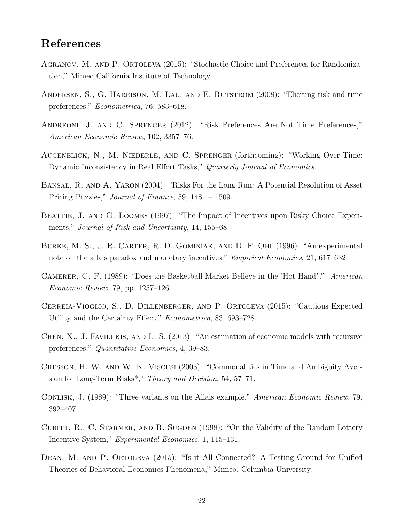## References

- Agranov, M. and P. Ortoleva (2015): "Stochastic Choice and Preferences for Randomization," Mimeo California Institute of Technology.
- Andersen, S., G. Harrison, M. Lau, and E. Rutstrom (2008): "Eliciting risk and time preferences," Econometrica, 76, 583–618.
- Andreoni, J. and C. Sprenger (2012): "Risk Preferences Are Not Time Preferences," American Economic Review, 102, 3357–76.
- Augenblick, N., M. Niederle, and C. Sprenger (forthcoming): "Working Over Time: Dynamic Inconsistency in Real Effort Tasks," Quarterly Journal of Economics.
- Bansal, R. and A. Yaron (2004): "Risks For the Long Run: A Potential Resolution of Asset Pricing Puzzles," Journal of Finance, 59, 1481 – 1509.
- BEATTIE, J. AND G. LOOMES (1997): "The Impact of Incentives upon Risky Choice Experiments," Journal of Risk and Uncertainty, 14, 155–68.
- Burke, M. S., J. R. Carter, R. D. Gominiak, and D. F. Ohl (1996): "An experimental note on the allais paradox and monetary incentives," *Empirical Economics*, 21, 617–632.
- CAMERER, C. F. (1989): "Does the Basketball Market Believe in the 'Hot Hand'?" American Economic Review, 79, pp. 1257–1261.
- Cerreia-Vioglio, S., D. Dillenberger, and P. Ortoleva (2015): "Cautious Expected Utility and the Certainty Effect," Econometrica, 83, 693–728.
- Chen, X., J. Favilukis, and L. S. (2013): "An estimation of economic models with recursive preferences," Quantitative Economics, 4, 39–83.
- Chesson, H. W. and W. K. Viscusi (2003): "Commonalities in Time and Ambiguity Aversion for Long-Term Risks<sup>\*</sup>," *Theory and Decision*, 54, 57–71.
- CONLISK, J. (1989): "Three variants on the Allais example," *American Economic Review*, 79, 392–407.
- CUBITT, R., C. STARMER, AND R. SUGDEN (1998): "On the Validity of the Random Lottery Incentive System," Experimental Economics, 1, 115–131.
- DEAN, M. AND P. ORTOLEVA (2015): "Is it All Connected? A Testing Ground for Unified Theories of Behavioral Economics Phenomena," Mimeo, Columbia University.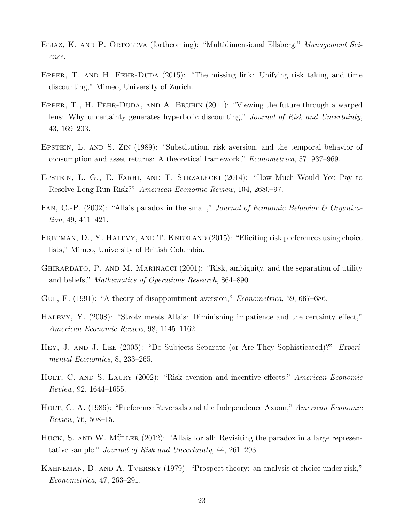- Eliaz, K. and P. Ortoleva (forthcoming): "Multidimensional Ellsberg," Management Science.
- EPPER, T. AND H. FEHR-DUDA (2015): "The missing link: Unifying risk taking and time discounting," Mimeo, University of Zurich.
- Epper, T., H. Fehr-Duda, and A. Bruhin (2011): "Viewing the future through a warped lens: Why uncertainty generates hyperbolic discounting," Journal of Risk and Uncertainty, 43, 169–203.
- Epstein, L. and S. Zin (1989): "Substitution, risk aversion, and the temporal behavior of consumption and asset returns: A theoretical framework," Econometrica, 57, 937–969.
- Epstein, L. G., E. Farhi, and T. Strzalecki (2014): "How Much Would You Pay to Resolve Long-Run Risk?" American Economic Review, 104, 2680–97.
- FAN, C.-P. (2002): "Allais paradox in the small," Journal of Economic Behavior & Organization, 49, 411–421.
- FREEMAN, D., Y. HALEVY, AND T. KNEELAND (2015): "Eliciting risk preferences using choice lists," Mimeo, University of British Columbia.
- GHIRARDATO, P. AND M. MARINACCI (2001): "Risk, ambiguity, and the separation of utility and beliefs," Mathematics of Operations Research, 864–890.
- GUL, F. (1991): "A theory of disappointment aversion," *Econometrica*, 59, 667–686.
- Halevy, Y. (2008): "Strotz meets Allais: Diminishing impatience and the certainty effect," American Economic Review, 98, 1145–1162.
- HEY, J. AND J. LEE (2005): "Do Subjects Separate (or Are They Sophisticated)?" Experimental Economics, 8, 233–265.
- HOLT, C. AND S. LAURY (2002): "Risk aversion and incentive effects," American Economic Review, 92, 1644–1655.
- HOLT, C. A. (1986): "Preference Reversals and the Independence Axiom," American Economic Review, 76, 508–15.
- HUCK, S. AND W. MÜLLER  $(2012)$ : "Allais for all: Revisiting the paradox in a large representative sample," Journal of Risk and Uncertainty, 44, 261–293.
- Kahneman, D. and A. Tversky (1979): "Prospect theory: an analysis of choice under risk," Econometrica, 47, 263–291.